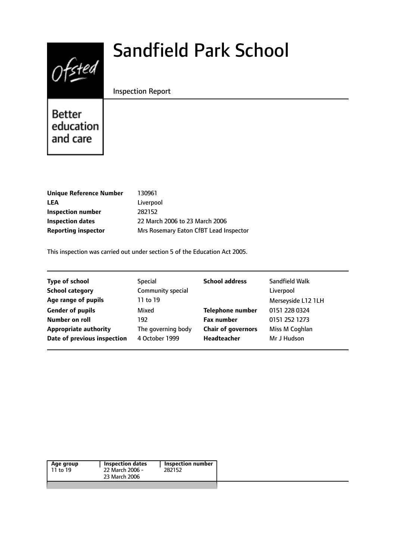# $0$ fsted

# Sandfield Park School

#### Inspection Report

Better education and care

| Unique Reference Number    | 130961                                 |
|----------------------------|----------------------------------------|
| LEA                        | Liverpool                              |
| Inspection number          | 282152                                 |
| Inspection dates           | 22 March 2006 to 23 March 2006         |
| <b>Reporting inspector</b> | Mrs Rosemary Eaton CfBT Lead Inspector |
|                            |                                        |

This inspection was carried out under section 5 of the Education Act 2005.

| <b>Type of school</b>        | Special            | <b>School address</b>     | Sandfield Walk     |
|------------------------------|--------------------|---------------------------|--------------------|
| <b>School category</b>       | Community special  |                           | Liverpool          |
| Age range of pupils          | 11 to 19           |                           | Merseyside L12 1LH |
| <b>Gender of pupils</b>      | Mixed              | <b>Telephone number</b>   | 0151 228 0324      |
| Number on roll               | 192                | <b>Fax number</b>         | 0151 252 1273      |
| <b>Appropriate authority</b> | The governing body | <b>Chair of governors</b> | Miss M Coghlan     |
| Date of previous inspection  | 4 October 1999     | <b>Headteacher</b>        | Mr J Hudson        |
|                              |                    |                           |                    |

| Age group | Inspection dates | <b>Inspection number</b> |
|-----------|------------------|--------------------------|
| 11 to 19  | 22 March 2006 -  | 282152                   |
|           | 23 March 2006    |                          |
|           |                  |                          |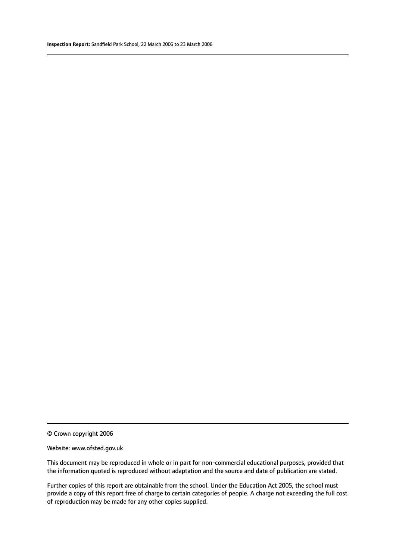© Crown copyright 2006

#### Website: www.ofsted.gov.uk

This document may be reproduced in whole or in part for non-commercial educational purposes, provided that the information quoted is reproduced without adaptation and the source and date of publication are stated.

Further copies of this report are obtainable from the school. Under the Education Act 2005, the school must provide a copy of this report free of charge to certain categories of people. A charge not exceeding the full cost of reproduction may be made for any other copies supplied.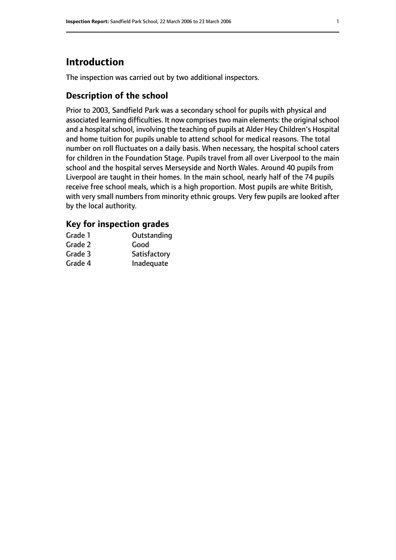# **Introduction**

The inspection was carried out by two additional inspectors.

# **Description of the school**

Prior to 2003, Sandfield Park was a secondary school for pupils with physical and associated learning difficulties. It now comprises two main elements: the original school and a hospital school, involving the teaching of pupils at Alder Hey Children's Hospital and home tuition for pupils unable to attend school for medical reasons. The total number on roll fluctuates on a daily basis. When necessary, the hospital school caters for children in the Foundation Stage. Pupils travel from all over Liverpool to the main school and the hospital serves Merseyside and North Wales. Around 40 pupils from Liverpool are taught in their homes. In the main school, nearly half of the 74 pupils receive free school meals, which is a high proportion. Most pupils are white British, with very small numbers from minority ethnic groups. Very few pupils are looked after by the local authority.

# **Key for inspection grades**

| Grade 1 | Outstanding  |
|---------|--------------|
| Grade 2 | Good         |
| Grade 3 | Satisfactory |
| Grade 4 | Inadequate   |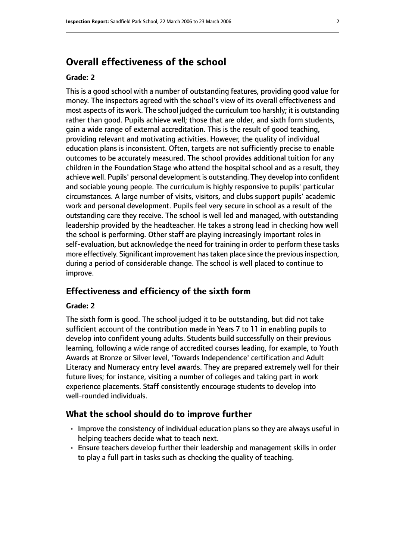# **Overall effectiveness of the school**

#### **Grade: 2**

This is a good school with a number of outstanding features, providing good value for money. The inspectors agreed with the school's view of its overall effectiveness and most aspects of its work. The school judged the curriculum too harshly; it is outstanding rather than good. Pupils achieve well; those that are older, and sixth form students, gain a wide range of external accreditation. This is the result of good teaching, providing relevant and motivating activities. However, the quality of individual education plans is inconsistent. Often, targets are not sufficiently precise to enable outcomes to be accurately measured. The school provides additional tuition for any children in the Foundation Stage who attend the hospital school and as a result, they achieve well. Pupils' personal development is outstanding. They develop into confident and sociable young people. The curriculum is highly responsive to pupils' particular circumstances. A large number of visits, visitors, and clubs support pupils' academic work and personal development. Pupils feel very secure in school as a result of the outstanding care they receive. The school is well led and managed, with outstanding leadership provided by the headteacher. He takes a strong lead in checking how well the school is performing. Other staff are playing increasingly important roles in self-evaluation, but acknowledge the need for training in order to perform these tasks more effectively. Significant improvement has taken place since the previous inspection, during a period of considerable change. The school is well placed to continue to improve.

#### **Effectiveness and efficiency of the sixth form**

#### **Grade: 2**

The sixth form is good. The school judged it to be outstanding, but did not take sufficient account of the contribution made in Years 7 to 11 in enabling pupils to develop into confident young adults. Students build successfully on their previous learning, following a wide range of accredited courses leading, for example, to Youth Awards at Bronze or Silver level, 'Towards Independence' certification and Adult Literacy and Numeracy entry level awards. They are prepared extremely well for their future lives; for instance, visiting a number of colleges and taking part in work experience placements. Staff consistently encourage students to develop into well-rounded individuals.

#### **What the school should do to improve further**

- Improve the consistency of individual education plans so they are always useful in helping teachers decide what to teach next.
- Ensure teachers develop further their leadership and management skills in order to play a full part in tasks such as checking the quality of teaching.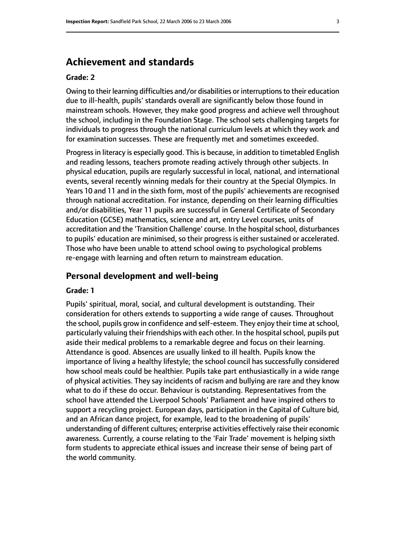# **Achievement and standards**

#### **Grade: 2**

Owing to their learning difficulties and/or disabilities or interruptionsto their education due to ill-health, pupils' standards overall are significantly below those found in mainstream schools. However, they make good progress and achieve well throughout the school, including in the Foundation Stage. The school sets challenging targets for individuals to progress through the national curriculum levels at which they work and for examination successes. These are frequently met and sometimes exceeded.

Progress in literacy is especially good. This is because, in addition to timetabled English and reading lessons, teachers promote reading actively through other subjects. In physical education, pupils are regularly successful in local, national, and international events, several recently winning medals for their country at the Special Olympics. In Years 10 and 11 and in the sixth form, most of the pupils' achievements are recognised through national accreditation. For instance, depending on their learning difficulties and/or disabilities, Year 11 pupils are successful in General Certificate of Secondary Education (GCSE) mathematics, science and art, entry Level courses, units of accreditation and the 'Transition Challenge' course. In the hospital school, disturbances to pupils' education are minimised, so their progress is either sustained or accelerated. Those who have been unable to attend school owing to psychological problems re-engage with learning and often return to mainstream education.

#### **Personal development and well-being**

#### **Grade: 1**

Pupils' spiritual, moral, social, and cultural development is outstanding. Their consideration for others extends to supporting a wide range of causes. Throughout the school, pupils grow in confidence and self-esteem. They enjoy their time at school, particularly valuing their friendships with each other. In the hospital school, pupils put aside their medical problems to a remarkable degree and focus on their learning. Attendance is good. Absences are usually linked to ill health. Pupils know the importance of living a healthy lifestyle; the school council has successfully considered how school meals could be healthier. Pupils take part enthusiastically in a wide range of physical activities. They say incidents of racism and bullying are rare and they know what to do if these do occur. Behaviour is outstanding. Representatives from the school have attended the Liverpool Schools' Parliament and have inspired others to support a recycling project. European days, participation in the Capital of Culture bid, and an African dance project, for example, lead to the broadening of pupils' understanding of different cultures; enterprise activities effectively raise their economic awareness. Currently, a course relating to the 'Fair Trade' movement is helping sixth form students to appreciate ethical issues and increase their sense of being part of the world community.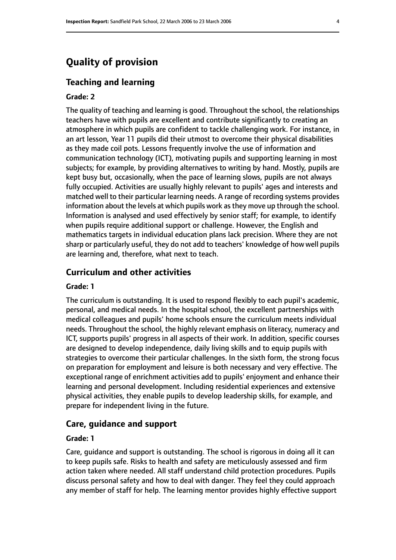# **Quality of provision**

#### **Teaching and learning**

#### **Grade: 2**

The quality of teaching and learning is good. Throughout the school, the relationships teachers have with pupils are excellent and contribute significantly to creating an atmosphere in which pupils are confident to tackle challenging work. For instance, in an art lesson, Year 11 pupils did their utmost to overcome their physical disabilities as they made coil pots. Lessons frequently involve the use of information and communication technology (ICT), motivating pupils and supporting learning in most subjects; for example, by providing alternatives to writing by hand. Mostly, pupils are kept busy but, occasionally, when the pace of learning slows, pupils are not always fully occupied. Activities are usually highly relevant to pupils' ages and interests and matched well to their particular learning needs. A range of recording systems provides information about the levels at which pupils work asthey move up through the school. Information is analysed and used effectively by senior staff; for example, to identify when pupils require additional support or challenge. However, the English and mathematics targets in individual education plans lack precision. Where they are not sharp or particularly useful, they do not add to teachers' knowledge of how well pupils are learning and, therefore, what next to teach.

#### **Curriculum and other activities**

#### **Grade: 1**

The curriculum is outstanding. It is used to respond flexibly to each pupil's academic, personal, and medical needs. In the hospital school, the excellent partnerships with medical colleagues and pupils' home schools ensure the curriculum meets individual needs. Throughout the school, the highly relevant emphasis on literacy, numeracy and ICT, supports pupils' progress in all aspects of their work. In addition, specific courses are designed to develop independence, daily living skills and to equip pupils with strategies to overcome their particular challenges. In the sixth form, the strong focus on preparation for employment and leisure is both necessary and very effective. The exceptional range of enrichment activities add to pupils' enjoyment and enhance their learning and personal development. Including residential experiences and extensive physical activities, they enable pupils to develop leadership skills, for example, and prepare for independent living in the future.

#### **Care, guidance and support**

#### **Grade: 1**

Care, guidance and support is outstanding. The school is rigorous in doing all it can to keep pupils safe. Risks to health and safety are meticulously assessed and firm action taken where needed. All staff understand child protection procedures. Pupils discuss personal safety and how to deal with danger. They feel they could approach any member of staff for help. The learning mentor provides highly effective support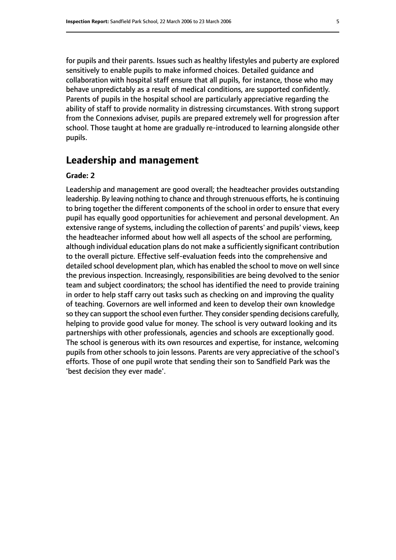for pupils and their parents. Issues such as healthy lifestyles and puberty are explored sensitively to enable pupils to make informed choices. Detailed guidance and collaboration with hospital staff ensure that all pupils, for instance, those who may behave unpredictably as a result of medical conditions, are supported confidently. Parents of pupils in the hospital school are particularly appreciative regarding the ability of staff to provide normality in distressing circumstances. With strong support from the Connexions adviser, pupils are prepared extremely well for progression after school. Those taught at home are gradually re-introduced to learning alongside other pupils.

## **Leadership and management**

#### **Grade: 2**

Leadership and management are good overall; the headteacher provides outstanding leadership. By leaving nothing to chance and through strenuous efforts, he is continuing to bring together the different components of the school in order to ensure that every pupil has equally good opportunities for achievement and personal development. An extensive range of systems, including the collection of parents' and pupils' views, keep the headteacher informed about how well all aspects of the school are performing, although individual education plans do not make a sufficiently significant contribution to the overall picture. Effective self-evaluation feeds into the comprehensive and detailed school development plan, which has enabled the school to move on well since the previous inspection. Increasingly, responsibilities are being devolved to the senior team and subject coordinators; the school has identified the need to provide training in order to help staff carry out tasks such as checking on and improving the quality of teaching. Governors are well informed and keen to develop their own knowledge so they can support the school even further. They consider spending decisions carefully, helping to provide good value for money. The school is very outward looking and its partnerships with other professionals, agencies and schools are exceptionally good. The school is generous with its own resources and expertise, for instance, welcoming pupils from other schools to join lessons. Parents are very appreciative of the school's efforts. Those of one pupil wrote that sending their son to Sandfield Park was the 'best decision they ever made'.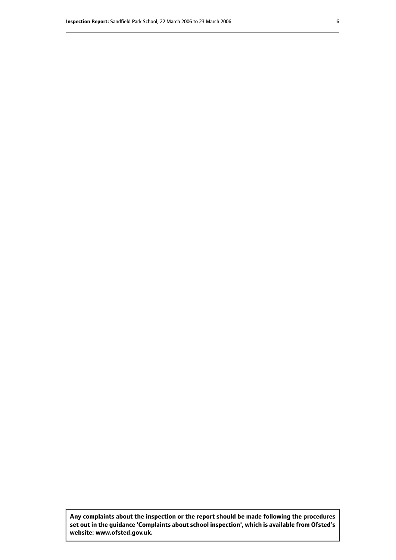**Any complaints about the inspection or the report should be made following the procedures set out inthe guidance 'Complaints about school inspection', whichis available from Ofsted's website: www.ofsted.gov.uk.**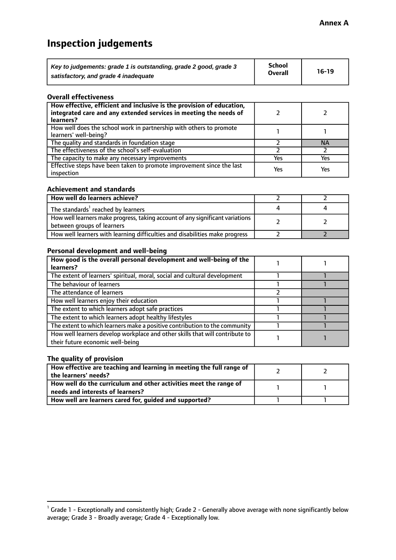# **Inspection judgements**

| Key to judgements: grade 1 is outstanding, grade 2 good, grade 3 | School         | $16-19$ |
|------------------------------------------------------------------|----------------|---------|
| satisfactory, and grade 4 inadequate                             | <b>Overall</b> |         |

#### **Overall effectiveness**

| How effective, efficient and inclusive is the provision of education,<br>integrated care and any extended services in meeting the needs of<br>learners? |     |           |
|---------------------------------------------------------------------------------------------------------------------------------------------------------|-----|-----------|
| How well does the school work in partnership with others to promote<br>learners' well-being?                                                            |     |           |
| The quality and standards in foundation stage                                                                                                           |     | <b>NA</b> |
| The effectiveness of the school's self-evaluation                                                                                                       |     |           |
| The capacity to make any necessary improvements                                                                                                         | Yes | Yes       |
| Effective steps have been taken to promote improvement since the last<br>inspection                                                                     | Yes | Yes       |

#### **Achievement and standards**

| How well do learners achieve?                                                                               |  |
|-------------------------------------------------------------------------------------------------------------|--|
| The standards <sup>1</sup> reached by learners                                                              |  |
| How well learners make progress, taking account of any significant variations<br>between groups of learners |  |
| How well learners with learning difficulties and disabilities make progress                                 |  |

#### **Personal development and well-being**

| How good is the overall personal development and well-being of the                                               |  |
|------------------------------------------------------------------------------------------------------------------|--|
| learners?                                                                                                        |  |
| The extent of learners' spiritual, moral, social and cultural development                                        |  |
| The behaviour of learners                                                                                        |  |
| The attendance of learners                                                                                       |  |
| How well learners enjoy their education                                                                          |  |
| The extent to which learners adopt safe practices                                                                |  |
| The extent to which learners adopt healthy lifestyles                                                            |  |
| The extent to which learners make a positive contribution to the community                                       |  |
| How well learners develop workplace and other skills that will contribute to<br>their future economic well-being |  |

#### **The quality of provision**

| How effective are teaching and learning in meeting the full range of<br>the learners' needs?          |  |
|-------------------------------------------------------------------------------------------------------|--|
| How well do the curriculum and other activities meet the range of<br>needs and interests of learners? |  |
| How well are learners cared for, guided and supported?                                                |  |

 $^1$  Grade 1 - Exceptionally and consistently high; Grade 2 - Generally above average with none significantly below average; Grade 3 - Broadly average; Grade 4 - Exceptionally low.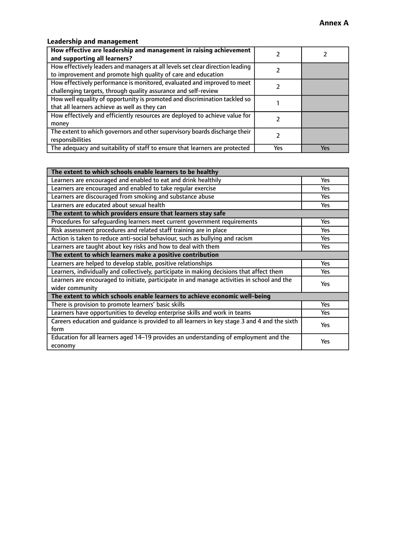## **Leadership and management**

| How effective are leadership and management in raising achievement<br>and supporting all learners?                                              |     |     |
|-------------------------------------------------------------------------------------------------------------------------------------------------|-----|-----|
| How effectively leaders and managers at all levels set clear direction leading<br>to improvement and promote high quality of care and education |     |     |
| How effectively performance is monitored, evaluated and improved to meet<br>challenging targets, through quality assurance and self-review      |     |     |
| How well equality of opportunity is promoted and discrimination tackled so<br>that all learners achieve as well as they can                     |     |     |
| How effectively and efficiently resources are deployed to achieve value for<br>money                                                            |     |     |
| The extent to which governors and other supervisory boards discharge their<br>responsibilities                                                  |     |     |
| The adequacy and suitability of staff to ensure that learners are protected                                                                     | Yes | Yes |

| The extent to which schools enable learners to be healthy                                     |            |
|-----------------------------------------------------------------------------------------------|------------|
| Learners are encouraged and enabled to eat and drink healthily                                | <b>Yes</b> |
| Learners are encouraged and enabled to take regular exercise                                  | <b>Yes</b> |
| Learners are discouraged from smoking and substance abuse                                     | Yes        |
| Learners are educated about sexual health                                                     | Yes        |
| The extent to which providers ensure that learners stay safe                                  |            |
| Procedures for safeguarding learners meet current government requirements                     | <b>Yes</b> |
| Risk assessment procedures and related staff training are in place                            | <b>Yes</b> |
| Action is taken to reduce anti-social behaviour, such as bullying and racism                  | Yes        |
| Learners are taught about key risks and how to deal with them                                 | Yes        |
| The extent to which learners make a positive contribution                                     |            |
| Learners are helped to develop stable, positive relationships                                 | Yes        |
| Learners, individually and collectively, participate in making decisions that affect them     | <b>Yes</b> |
| Learners are encouraged to initiate, participate in and manage activities in school and the   | <b>Yes</b> |
| wider community                                                                               |            |
| The extent to which schools enable learners to achieve economic well-being                    |            |
| There is provision to promote learners' basic skills                                          | <b>Yes</b> |
| Learners have opportunities to develop enterprise skills and work in teams                    | Yes        |
| Careers education and quidance is provided to all learners in key stage 3 and 4 and the sixth | Yes        |
| form                                                                                          |            |
| Education for all learners aged 14-19 provides an understanding of employment and the         | Yes        |
| economy                                                                                       |            |